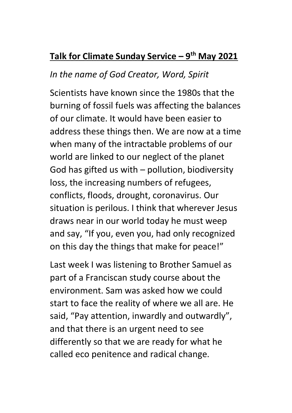## **Talk for Climate Sunday Service – 9 th May 2021**

## *In the name of God Creator, Word, Spirit*

Scientists have known since the 1980s that the burning of fossil fuels was affecting the balances of our climate. It would have been easier to address these things then. We are now at a time when many of the intractable problems of our world are linked to our neglect of the planet God has gifted us with – pollution, biodiversity loss, the increasing numbers of refugees, conflicts, floods, drought, coronavirus. Our situation is perilous. I think that wherever Jesus draws near in our world today he must weep and say, "If you, even you, had only recognized on this day the things that make for peace!"

Last week I was listening to Brother Samuel as part of a Franciscan study course about the environment. Sam was asked how we could start to face the reality of where we all are. He said, "Pay attention, inwardly and outwardly", and that there is an urgent need to see differently so that we are ready for what he called eco penitence and radical change.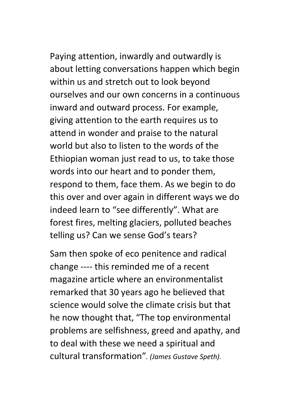Paying attention, inwardly and outwardly is about letting conversations happen which begin within us and stretch out to look beyond ourselves and our own concerns in a continuous inward and outward process. For example, giving attention to the earth requires us to attend in wonder and praise to the natural world but also to listen to the words of the Ethiopian woman just read to us, to take those words into our heart and to ponder them, respond to them, face them. As we begin to do this over and over again in different ways we do indeed learn to "see differently". What are forest fires, melting glaciers, polluted beaches telling us? Can we sense God's tears?

Sam then spoke of eco penitence and radical change ---- this reminded me of a recent magazine article where an environmentalist remarked that 30 years ago he believed that science would solve the climate crisis but that he now thought that, "The top environmental problems are selfishness, greed and apathy, and to deal with these we need a spiritual and cultural transformation"*. (James Gustave Speth).*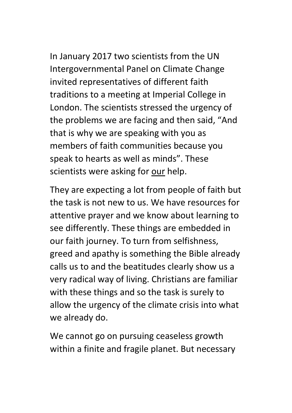In January 2017 two scientists from the UN Intergovernmental Panel on Climate Change invited representatives of different faith traditions to a meeting at Imperial College in London. The scientists stressed the urgency of the problems we are facing and then said, "And that is why we are speaking with you as members of faith communities because you speak to hearts as well as minds". These scientists were asking for our help.

They are expecting a lot from people of faith but the task is not new to us. We have resources for attentive prayer and we know about learning to see differently. These things are embedded in our faith journey. To turn from selfishness, greed and apathy is something the Bible already calls us to and the beatitudes clearly show us a very radical way of living. Christians are familiar with these things and so the task is surely to allow the urgency of the climate crisis into what we already do.

We cannot go on pursuing ceaseless growth within a finite and fragile planet. But necessary